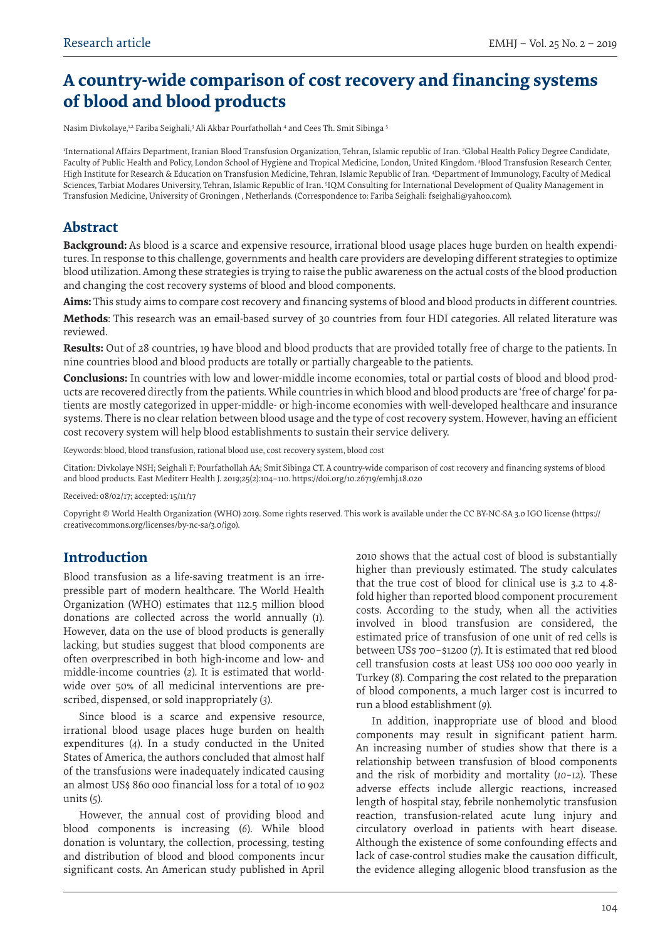# **A country-wide comparison of cost recovery and financing systems of blood and blood products**

Nasim Divkolaye,12 Fariba Seighali,3 Ali Akbar Pourfathollah 4 and Cees Th. Smit Sibinga 5

1 International Affairs Department, Iranian Blood Transfusion Organization, Tehran, Islamic republic of Iran. 2 Global Health Policy Degree Candidate, Faculty of Public Health and Policy, London School of Hygiene and Tropical Medicine, London, United Kingdom. 3 Blood Transfusion Research Center, High Institute for Research & Education on Transfusion Medicine, Tehran, Islamic Republic of Iran. 4 Department of Immunology, Faculty of Medical Sciences, Tarbiat Modares University, Tehran, Islamic Republic of Iran. 5IQM Consulting for International Development of Quality Management in Transfusion Medicine, University of Groningen , Netherlands. (Correspondence to: Fariba Seighali: fseighali@yahoo.com).

### **Abstract**

**Background:** As blood is a scarce and expensive resource, irrational blood usage places huge burden on health expenditures. In response to this challenge, governments and health care providers are developing different strategies to optimize blood utilization. Among these strategies is trying to raise the public awareness on the actual costs of the blood production and changing the cost recovery systems of blood and blood components.

**Aims:** This study aims to compare cost recovery and financing systems of blood and blood products in different countries.

**Methods**: This research was an email-based survey of 30 countries from four HDI categories. All related literature was reviewed.

**Results:** Out of 28 countries, 19 have blood and blood products that are provided totally free of charge to the patients. In nine countries blood and blood products are totally or partially chargeable to the patients.

**Conclusions:** In countries with low and lower-middle income economies, total or partial costs of blood and blood products are recovered directly from the patients. While countries in which blood and blood products are 'free of charge' for patients are mostly categorized in upper-middle- or high-income economies with well-developed healthcare and insurance systems. There is no clear relation between blood usage and the type of cost recovery system. However, having an efficient cost recovery system will help blood establishments to sustain their service delivery.

Keywords: blood, blood transfusion, rational blood use, cost recovery system, blood cost

Citation: Divkolaye NSH; Seighali F; Pourfathollah AA; Smit Sibinga CT. A country-wide comparison of cost recovery and financing systems of blood and blood products. East Mediterr Health J. 2019;25(2):104–110. https://doi.org/10.26719/emhj.18.020

Received: 08/02/17; accepted: 15/11/17

Copyright © World Health Organization (WHO) 2019. Some rights reserved. This work is available under the CC BY-NC-SA 3.0 IGO license (https:// creativecommons.org/licenses/by-nc-sa/3.0/igo).

## **Introduction**

Blood transfusion as a life-saving treatment is an irrepressible part of modern healthcare. The World Health Organization (WHO) estimates that 112.5 million blood donations are collected across the world annually (*1*). However, data on the use of blood products is generally lacking, but studies suggest that blood components are often overprescribed in both high-income and low- and middle-income countries (*2*). It is estimated that worldwide over 50% of all medicinal interventions are prescribed, dispensed, or sold inappropriately (*3*).

Since blood is a scarce and expensive resource, irrational blood usage places huge burden on health expenditures (*4*). In a study conducted in the United States of America, the authors concluded that almost half of the transfusions were inadequately indicated causing an almost US\$ 860 000 financial loss for a total of 10 902 units (*5*).

However, the annual cost of providing blood and blood components is increasing (*6*). While blood donation is voluntary, the collection, processing, testing and distribution of blood and blood components incur significant costs. An American study published in April 2010 shows that the actual cost of blood is substantially higher than previously estimated. The study calculates that the true cost of blood for clinical use is 3.2 to 4.8 fold higher than reported blood component procurement costs. According to the study, when all the activities involved in blood transfusion are considered, the estimated price of transfusion of one unit of red cells is between US\$ 700–\$1200 (*7*). It is estimated that red blood cell transfusion costs at least US\$ 100 000 000 yearly in Turkey (*8*). Comparing the cost related to the preparation of blood components, a much larger cost is incurred to run a blood establishment (*9*).

In addition, inappropriate use of blood and blood components may result in significant patient harm. An increasing number of studies show that there is a relationship between transfusion of blood components and the risk of morbidity and mortality (*10–12*). These adverse effects include allergic reactions, increased length of hospital stay, febrile nonhemolytic transfusion reaction, transfusion-related acute lung injury and circulatory overload in patients with heart disease. Although the existence of some confounding effects and lack of case-control studies make the causation difficult, the evidence alleging allogenic blood transfusion as the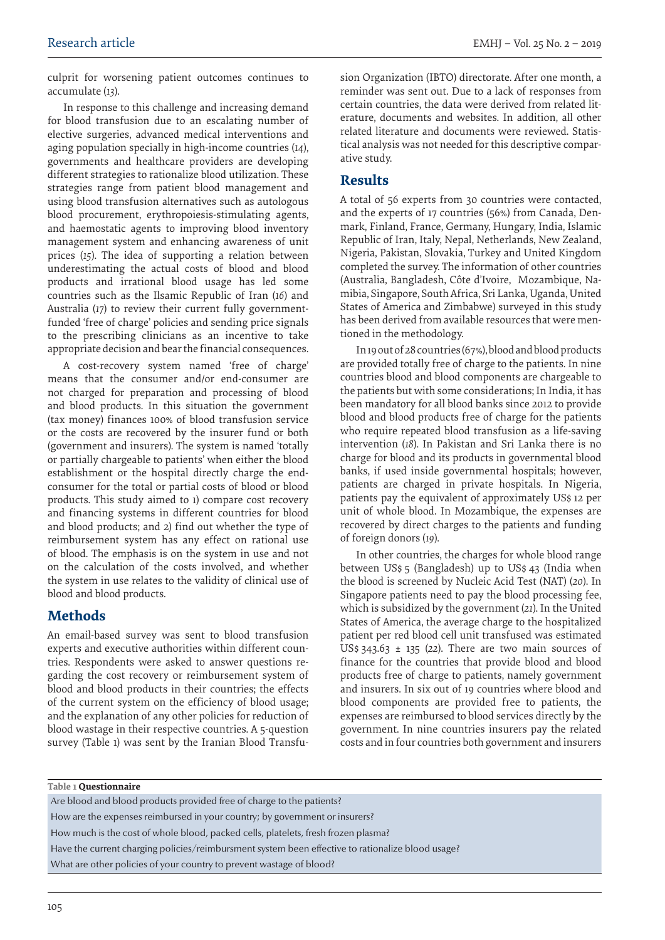culprit for worsening patient outcomes continues to accumulate (*13*).

In response to this challenge and increasing demand for blood transfusion due to an escalating number of elective surgeries, advanced medical interventions and aging population specially in high-income countries (*14*), governments and healthcare providers are developing different strategies to rationalize blood utilization. These strategies range from patient blood management and using blood transfusion alternatives such as autologous blood procurement, erythropoiesis-stimulating agents, and haemostatic agents to improving blood inventory management system and enhancing awareness of unit prices (*15*). The idea of supporting a relation between underestimating the actual costs of blood and blood products and irrational blood usage has led some countries such as the Ilsamic Republic of Iran (*16*) and Australia (*17*) to review their current fully governmentfunded 'free of charge' policies and sending price signals to the prescribing clinicians as an incentive to take appropriate decision and bear the financial consequences.

A cost-recovery system named 'free of charge' means that the consumer and/or end-consumer are not charged for preparation and processing of blood and blood products. In this situation the government (tax money) finances 100% of blood transfusion service or the costs are recovered by the insurer fund or both (government and insurers). The system is named 'totally or partially chargeable to patients' when either the blood establishment or the hospital directly charge the endconsumer for the total or partial costs of blood or blood products. This study aimed to 1) compare cost recovery and financing systems in different countries for blood and blood products; and 2) find out whether the type of reimbursement system has any effect on rational use of blood. The emphasis is on the system in use and not on the calculation of the costs involved, and whether the system in use relates to the validity of clinical use of blood and blood products.

## **Methods**

An email-based survey was sent to blood transfusion experts and executive authorities within different countries. Respondents were asked to answer questions regarding the cost recovery or reimbursement system of blood and blood products in their countries; the effects of the current system on the efficiency of blood usage; and the explanation of any other policies for reduction of blood wastage in their respective countries. A 5-question survey (Table 1) was sent by the Iranian Blood Transfusion Organization (IBTO) directorate. After one month, a reminder was sent out. Due to a lack of responses from certain countries, the data were derived from related literature, documents and websites. In addition, all other related literature and documents were reviewed. Statistical analysis was not needed for this descriptive comparative study.

### **Results**

A total of 56 experts from 30 countries were contacted, and the experts of 17 countries (56%) from Canada, Denmark, Finland, France, Germany, Hungary, India, Islamic Republic of Iran, Italy, Nepal, Netherlands, New Zealand, Nigeria, Pakistan, Slovakia, Turkey and United Kingdom completed the survey. The information of other countries (Australia, Bangladesh, Côte d'Ivoire, Mozambique, Namibia, Singapore, South Africa, Sri Lanka, Uganda, United States of America and Zimbabwe) surveyed in this study has been derived from available resources that were mentioned in the methodology.

In 19 out of 28 countries (67%), blood and blood products are provided totally free of charge to the patients. In nine countries blood and blood components are chargeable to the patients but with some considerations; In India, it has been mandatory for all blood banks since 2012 to provide blood and blood products free of charge for the patients who require repeated blood transfusion as a life-saving intervention (*18*). In Pakistan and Sri Lanka there is no charge for blood and its products in governmental blood banks, if used inside governmental hospitals; however, patients are charged in private hospitals. In Nigeria, patients pay the equivalent of approximately US\$ 12 per unit of whole blood. In Mozambique, the expenses are recovered by direct charges to the patients and funding of foreign donors (*19*).

In other countries, the charges for whole blood range between US\$ 5 (Bangladesh) up to US\$ 43 (India when the blood is screened by Nucleic Acid Test (NAT) (*20*). In Singapore patients need to pay the blood processing fee, which is subsidized by the government (*21*). In the United States of America, the average charge to the hospitalized patient per red blood cell unit transfused was estimated US\$  $343.63 \pm 135$  (22). There are two main sources of finance for the countries that provide blood and blood products free of charge to patients, namely government and insurers. In six out of 19 countries where blood and blood components are provided free to patients, the expenses are reimbursed to blood services directly by the government. In nine countries insurers pay the related costs and in four countries both government and insurers

#### **Table 1 Questionnaire**

Are blood and blood products provided free of charge to the patients? How are the expenses reimbursed in your country; by government or insurers? How much is the cost of whole blood, packed cells, platelets, fresh frozen plasma? Have the current charging policies/reimbursment system been effective to rationalize blood usage? What are other policies of your country to prevent wastage of blood?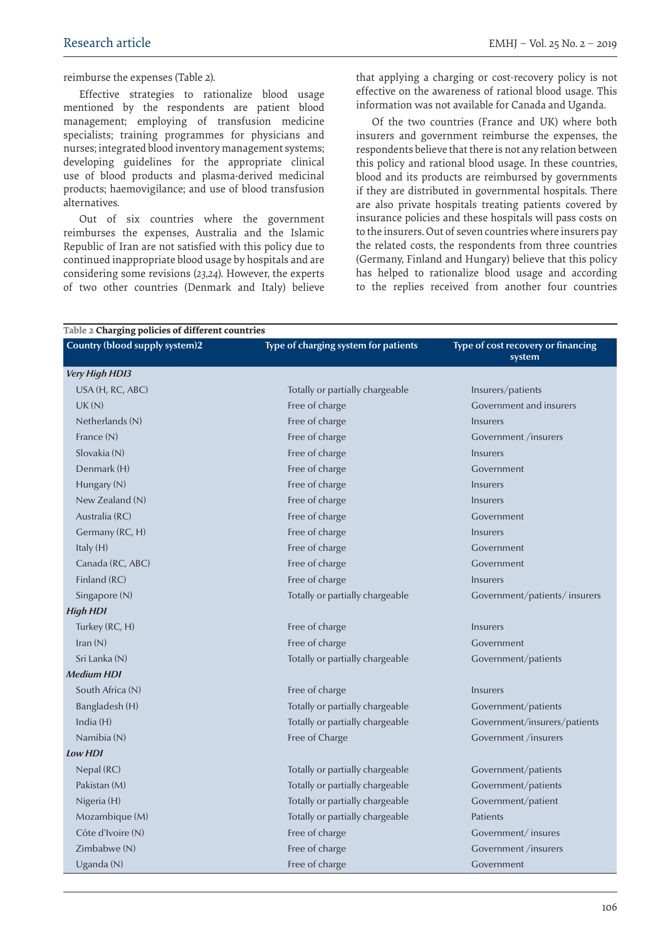reimburse the expenses (Table 2).

Effective strategies to rationalize blood usage mentioned by the respondents are patient blood management; employing of transfusion medicine specialists; training programmes for physicians and nurses; integrated blood inventory management systems; developing guidelines for the appropriate clinical use of blood products and plasma-derived medicinal products; haemovigilance; and use of blood transfusion alternatives.

Out of six countries where the government reimburses the expenses, Australia and the Islamic Republic of Iran are not satisfied with this policy due to continued inappropriate blood usage by hospitals and are considering some revisions (*23,24*). However, the experts of two other countries (Denmark and Italy) believe

that applying a charging or cost-recovery policy is not effective on the awareness of rational blood usage. This information was not available for Canada and Uganda.

Of the two countries (France and UK) where both insurers and government reimburse the expenses, the respondents believe that there is not any relation between this policy and rational blood usage. In these countries, blood and its products are reimbursed by governments if they are distributed in governmental hospitals. There are also private hospitals treating patients covered by insurance policies and these hospitals will pass costs on to the insurers. Out of seven countries where insurers pay the related costs, the respondents from three countries (Germany, Finland and Hungary) believe that this policy has helped to rationalize blood usage and according to the replies received from another four countries

| Country (blood supply system)2 | Type of charging system for patients | Type of cost recovery or financing<br>system |
|--------------------------------|--------------------------------------|----------------------------------------------|
| Very High HDI3                 |                                      |                                              |
| USA (H, RC, ABC)               | Totally or partially chargeable      | Insurers/patients                            |
| UK(N)                          | Free of charge                       | Government and insurers                      |
| Netherlands (N)                | Free of charge                       | Insurers                                     |
| France (N)                     | Free of charge                       | Government /insurers                         |
| Slovakia (N)                   | Free of charge                       | Insurers                                     |
| Denmark (H)                    | Free of charge                       | Government                                   |
| Hungary (N)                    | Free of charge                       | Insurers                                     |
| New Zealand (N)                | Free of charge                       | Insurers                                     |
| Australia (RC)                 | Free of charge                       | Government                                   |
| Germany (RC, H)                | Free of charge                       | Insurers                                     |
| Italy (H)                      | Free of charge                       | Government                                   |
| Canada (RC, ABC)               | Free of charge                       | Government                                   |
| Finland (RC)                   | Free of charge                       | Insurers                                     |
| Singapore (N)                  | Totally or partially chargeable      | Government/patients/insurers                 |
| <b>High HDI</b>                |                                      |                                              |
| Turkey (RC, H)                 | Free of charge                       | Insurers                                     |
| Iran(N)                        | Free of charge                       | Government                                   |
| Sri Lanka (N)                  | Totally or partially chargeable      | Government/patients                          |
| <b>Medium HDI</b>              |                                      |                                              |
| South Africa (N)               | Free of charge                       | Insurers                                     |
| Bangladesh (H)                 | Totally or partially chargeable      | Government/patients                          |
| India $(H)$                    | Totally or partially chargeable      | Government/insurers/patients                 |
| Namibia (N)                    | Free of Charge                       | Government /insurers                         |
| Low HDI                        |                                      |                                              |
| Nepal (RC)                     | Totally or partially chargeable      | Government/patients                          |
| Pakistan (M)                   | Totally or partially chargeable      | Government/patients                          |
| Nigeria (H)                    | Totally or partially chargeable      | Government/patient                           |
| Mozambique (M)                 | Totally or partially chargeable      | Patients                                     |
| Côte d'Ivoire (N)              | Free of charge                       | Government/insures                           |
| Zimbabwe (N)                   | Free of charge                       | Government /insurers                         |
| Uganda (N)                     | Free of charge                       | Government                                   |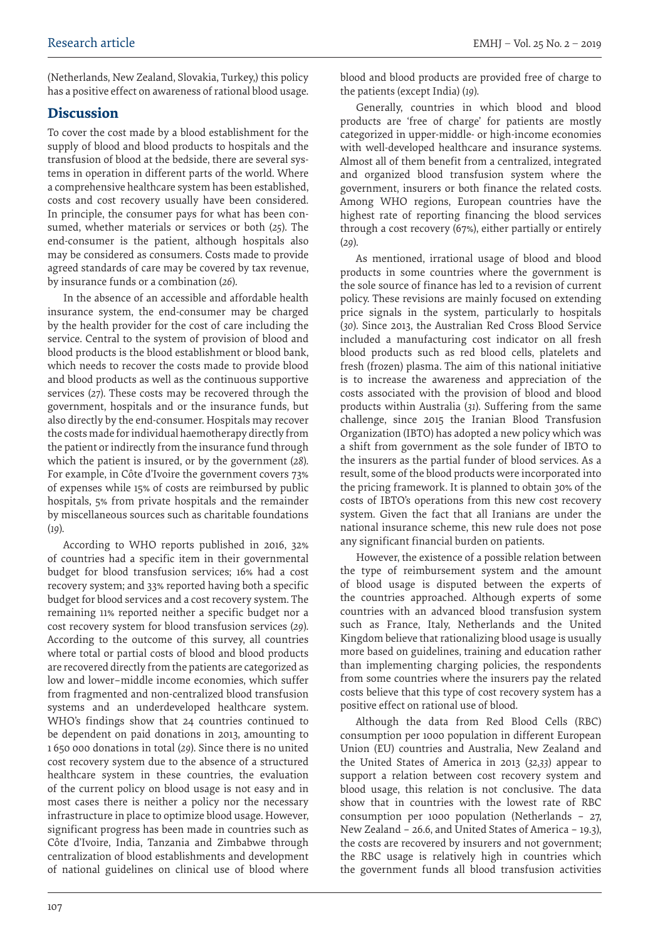(Netherlands, New Zealand, Slovakia, Turkey,) this policy has a positive effect on awareness of rational blood usage.

### **Discussion**

To cover the cost made by a blood establishment for the supply of blood and blood products to hospitals and the transfusion of blood at the bedside, there are several systems in operation in different parts of the world. Where a comprehensive healthcare system has been established, costs and cost recovery usually have been considered. In principle, the consumer pays for what has been consumed, whether materials or services or both (*25*). The end-consumer is the patient, although hospitals also may be considered as consumers. Costs made to provide agreed standards of care may be covered by tax revenue, by insurance funds or a combination (*26*).

In the absence of an accessible and affordable health insurance system, the end-consumer may be charged by the health provider for the cost of care including the service. Central to the system of provision of blood and blood products is the blood establishment or blood bank, which needs to recover the costs made to provide blood and blood products as well as the continuous supportive services (*27*). These costs may be recovered through the government, hospitals and or the insurance funds, but also directly by the end-consumer. Hospitals may recover the costs made for individual haemotherapy directly from the patient or indirectly from the insurance fund through which the patient is insured, or by the government (*28*). For example, in Côte d'Ivoire the government covers 73% of expenses while 15% of costs are reimbursed by public hospitals, 5% from private hospitals and the remainder by miscellaneous sources such as charitable foundations (*19*).

According to WHO reports published in 2016, 32% of countries had a specific item in their governmental budget for blood transfusion services; 16% had a cost recovery system; and 33% reported having both a specific budget for blood services and a cost recovery system. The remaining 11% reported neither a specific budget nor a cost recovery system for blood transfusion services (*29*). According to the outcome of this survey, all countries where total or partial costs of blood and blood products are recovered directly from the patients are categorized as low and lower–middle income economies, which suffer from fragmented and non-centralized blood transfusion systems and an underdeveloped healthcare system. WHO's findings show that 24 countries continued to be dependent on paid donations in 2013, amounting to 1 650 000 donations in total (*29*). Since there is no united cost recovery system due to the absence of a structured healthcare system in these countries, the evaluation of the current policy on blood usage is not easy and in most cases there is neither a policy nor the necessary infrastructure in place to optimize blood usage. However, significant progress has been made in countries such as Côte d'Ivoire, India, Tanzania and Zimbabwe through centralization of blood establishments and development of national guidelines on clinical use of blood where

blood and blood products are provided free of charge to the patients (except India) (*19*).

Generally, countries in which blood and blood products are 'free of charge' for patients are mostly categorized in upper-middle- or high-income economies with well-developed healthcare and insurance systems. Almost all of them benefit from a centralized, integrated and organized blood transfusion system where the government, insurers or both finance the related costs. Among WHO regions, European countries have the highest rate of reporting financing the blood services through a cost recovery (67%), either partially or entirely (*29*).

As mentioned, irrational usage of blood and blood products in some countries where the government is the sole source of finance has led to a revision of current policy. These revisions are mainly focused on extending price signals in the system, particularly to hospitals (*30*). Since 2013, the Australian Red Cross Blood Service included a manufacturing cost indicator on all fresh blood products such as red blood cells, platelets and fresh (frozen) plasma. The aim of this national initiative is to increase the awareness and appreciation of the costs associated with the provision of blood and blood products within Australia (*31*). Suffering from the same challenge, since 2015 the Iranian Blood Transfusion Organization (IBTO) has adopted a new policy which was a shift from government as the sole funder of IBTO to the insurers as the partial funder of blood services. As a result, some of the blood products were incorporated into the pricing framework. It is planned to obtain 30% of the costs of IBTO's operations from this new cost recovery system. Given the fact that all Iranians are under the national insurance scheme, this new rule does not pose any significant financial burden on patients.

However, the existence of a possible relation between the type of reimbursement system and the amount of blood usage is disputed between the experts of the countries approached. Although experts of some countries with an advanced blood transfusion system such as France, Italy, Netherlands and the United Kingdom believe that rationalizing blood usage is usually more based on guidelines, training and education rather than implementing charging policies, the respondents from some countries where the insurers pay the related costs believe that this type of cost recovery system has a positive effect on rational use of blood.

Although the data from Red Blood Cells (RBC) consumption per 1000 population in different European Union (EU) countries and Australia, New Zealand and the United States of America in 2013 (*32,33*) appear to support a relation between cost recovery system and blood usage, this relation is not conclusive. The data show that in countries with the lowest rate of RBC consumption per 1000 population (Netherlands – 27, New Zealand – 26.6, and United States of America – 19.3), the costs are recovered by insurers and not government; the RBC usage is relatively high in countries which the government funds all blood transfusion activities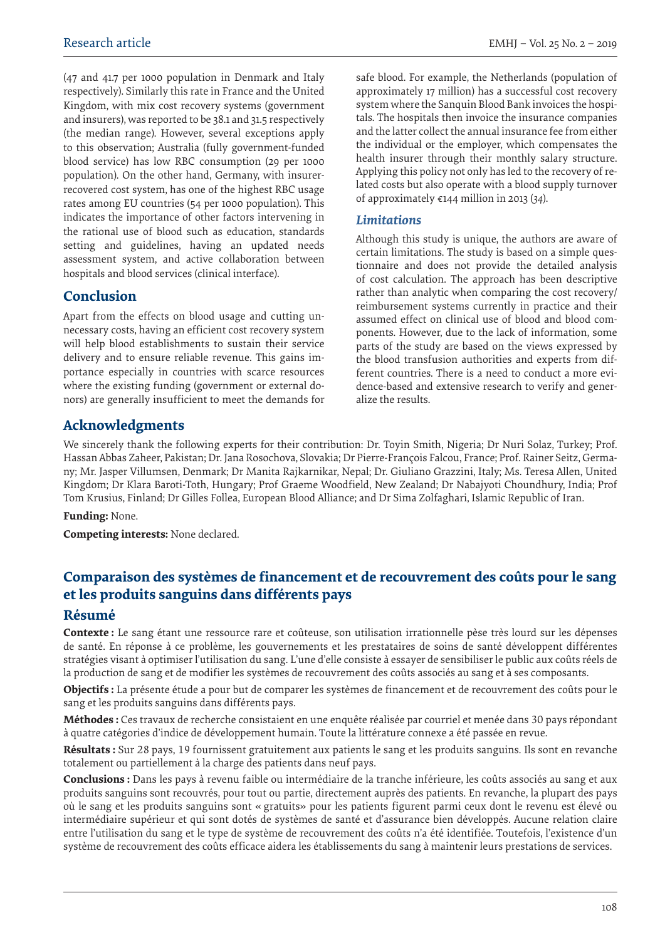(47 and 41.7 per 1000 population in Denmark and Italy respectively). Similarly this rate in France and the United Kingdom, with mix cost recovery systems (government and insurers), was reported to be 38.1 and 31.5 respectively (the median range). However, several exceptions apply to this observation; Australia (fully government-funded blood service) has low RBC consumption (29 per 1000 population). On the other hand, Germany, with insurerrecovered cost system, has one of the highest RBC usage rates among EU countries (54 per 1000 population). This indicates the importance of other factors intervening in the rational use of blood such as education, standards setting and guidelines, having an updated needs assessment system, and active collaboration between hospitals and blood services (clinical interface).

## **Conclusion**

Apart from the effects on blood usage and cutting unnecessary costs, having an efficient cost recovery system will help blood establishments to sustain their service delivery and to ensure reliable revenue. This gains importance especially in countries with scarce resources where the existing funding (government or external donors) are generally insufficient to meet the demands for safe blood. For example, the Netherlands (population of approximately 17 million) has a successful cost recovery system where the Sanquin Blood Bank invoices the hospitals. The hospitals then invoice the insurance companies and the latter collect the annual insurance fee from either the individual or the employer, which compensates the health insurer through their monthly salary structure. Applying this policy not only has led to the recovery of related costs but also operate with a blood supply turnover of approximately €144 million in 2013 (*34*).

#### *Limitations*

Although this study is unique, the authors are aware of certain limitations. The study is based on a simple questionnaire and does not provide the detailed analysis of cost calculation. The approach has been descriptive rather than analytic when comparing the cost recovery/ reimbursement systems currently in practice and their assumed effect on clinical use of blood and blood components. However, due to the lack of information, some parts of the study are based on the views expressed by the blood transfusion authorities and experts from different countries. There is a need to conduct a more evidence-based and extensive research to verify and generalize the results.

## **Acknowledgments**

We sincerely thank the following experts for their contribution: Dr. Toyin Smith, Nigeria; Dr Nuri Solaz, Turkey; Prof. Hassan Abbas Zaheer, Pakistan; Dr. Jana Rosochova, Slovakia; Dr Pierre-François Falcou, France; Prof. Rainer Seitz, Germany; Mr. Jasper Villumsen, Denmark; Dr Manita Rajkarnikar, Nepal; Dr. Giuliano Grazzini, Italy; Ms. Teresa Allen, United Kingdom; Dr Klara Baroti-Toth, Hungary; Prof Graeme Woodfield, New Zealand; Dr Nabajyoti Choundhury, India; Prof Tom Krusius, Finland; Dr Gilles Follea, European Blood Alliance; and Dr Sima Zolfaghari, Islamic Republic of Iran.

#### **Funding:** None.

**Competing interests:** None declared.

## **Comparaison des systèmes de financement et de recouvrement des coûts pour le sang et les produits sanguins dans différents pays**

### **Résumé**

**Contexte :** Le sang étant une ressource rare et coûteuse, son utilisation irrationnelle pèse très lourd sur les dépenses de santé. En réponse à ce problème, les gouvernements et les prestataires de soins de santé développent différentes stratégies visant à optimiser l'utilisation du sang. L'une d'elle consiste à essayer de sensibiliser le public aux coûts réels de la production de sang et de modifier les systèmes de recouvrement des coûts associés au sang et à ses composants.

**Objectifs :** La présente étude a pour but de comparer les systèmes de financement et de recouvrement des coûts pour le sang et les produits sanguins dans différents pays.

**Méthodes :** Ces travaux de recherche consistaient en une enquête réalisée par courriel et menée dans 30 pays répondant à quatre catégories d'indice de développement humain. Toute la littérature connexe a été passée en revue.

**Résultats :** Sur 28 pays, 19 fournissent gratuitement aux patients le sang et les produits sanguins. Ils sont en revanche totalement ou partiellement à la charge des patients dans neuf pays.

**Conclusions :** Dans les pays à revenu faible ou intermédiaire de la tranche inférieure, les coûts associés au sang et aux produits sanguins sont recouvrés, pour tout ou partie, directement auprès des patients. En revanche, la plupart des pays où le sang et les produits sanguins sont « gratuits» pour les patients figurent parmi ceux dont le revenu est élevé ou intermédiaire supérieur et qui sont dotés de systèmes de santé et d'assurance bien développés. Aucune relation claire entre l'utilisation du sang et le type de système de recouvrement des coûts n'a été identifiée. Toutefois, l'existence d'un système de recouvrement des coûts efficace aidera les établissements du sang à maintenir leurs prestations de services.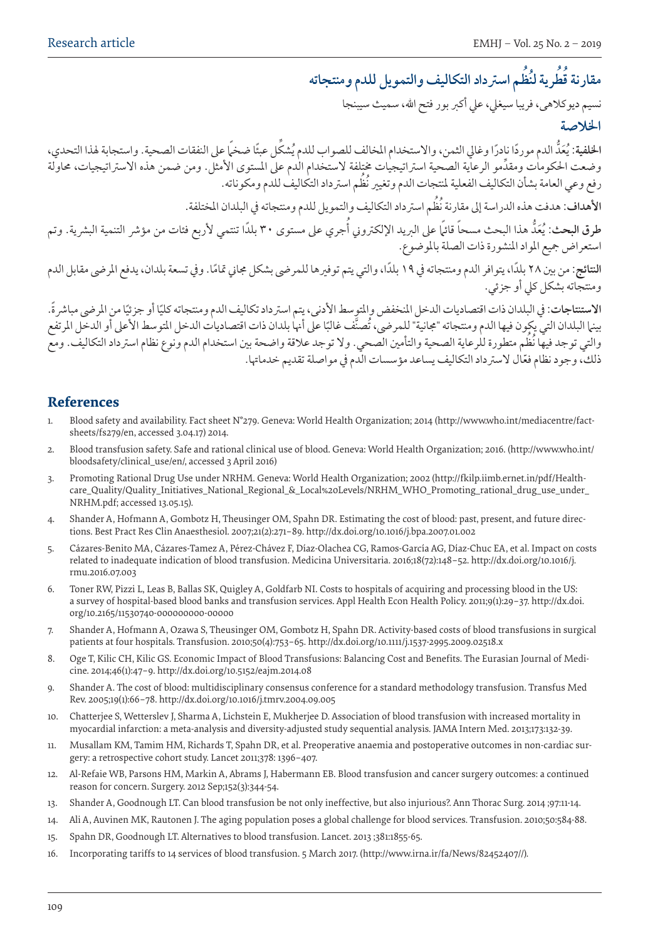#### **ظم اسرتداد التكاليف والتمويل للدم ومنتجاته ط ُ رية لن ُ ُ مقارنة ق ُ**

نسيم ديوكالهى، فريبا سيغيل، عيل أكرب بور فتح اهلل، سميث سيبنجا

## **اخلالصة**

الخلفية: يُعَدَّ الدم موردًا نادرًا وغالي الثمن، والاستخدام المخالف للصواب للدم يُشكل عبئًا ضخمًا على النفقات الصحية. واستجابة لهذا التحدي، وضعت الحكومات ومقدَّمو الرعاية الصحية استراتيجيات ختلفة لاستخدام الدم على المستوى الأمثل. ومن ضمن هذه الاستراتيجيات، محاولة ُ رفع وعي العامة بشأن التكاليف الفعلية ملنتجات الدم وتغيري نُظم اسرتداد التكاليف للدم ومكوناته.

**األهداف:** ُ هدفت هذه الدراسة إىل مقارنة نُظم اسرتداد التكاليف والتمويل للدم ومنتجاته يف البلدان املختلفة.

طرق البحث: يُعَدُّ هذا البحث مسحاً قائ<sub>م</sub>ًا على البريد الإلكتروني أجري على مستوى ٣٠ بلدًا تنتمي لأربع فئات من مؤشر التنمية البشرية. وتم استعراض مجيع املواد املنشورة ذات الصلة باملوضوع.

ا**لنتائج**: من بين ٢٨ بلدًا، يتوافر الدم ومنتجاته في ١٩ بلدًا، والتي يتم توفيرها للمرضى بشكل مجاني تمامًا. وفي تسعة بلدان، يدفع المرضى مقابل الدم ومنتجاته بشكل كيل أو جزئي.

الاستنتاجات: في البلدان ذات اقتصاديات الدخل المنخفض والمتوسط الأدنى، يتم استرداد تكاليف الدم ومنتجاته كليًا أو جزئيًا من المرضى مباشرة. بينها البلدان التي يكون فيها الدم ومنتجاته "مجانية" للمرضى، تصنّف غالبًا على أنها بلدان ذات اقتصاديات الدخل المتوسط الأعلى أو الدخل المرتفع ُ والتي توجد فيها نُظم متطورة للرعاية الصحية والتأمني الصحي. وال توجد عالقة واضحة بني استخدام الدم ونوع نظام اسرتداد التكاليف. ومع ذلك، وجود نظام فعّال لاسترداد التكاليف يساعد مؤسسات الّدم في مواصلة تقديم خدماتها.

## **References**

- 1. Blood safety and availability. Fact sheet N°279. Geneva: World Health Organization; 2014 (http://www.who.int/mediacentre/factsheets/fs279/en, accessed 3.04.17) 2014.
- 2. Blood transfusion safety. Safe and rational clinical use of blood. Geneva: World Health Organization; 2016. (http://www.who.int/ bloodsafety/clinical\_use/en/, accessed 3 April 2016)
- 3. Promoting Rational Drug Use under NRHM. Geneva: World Health Organization; 2002 (http://fkilp.iimb.ernet.in/pdf/Healthcare\_Quality/Quality\_Initiatives\_National\_Regional\_&\_Local%20Levels/NRHM\_WHO\_Promoting\_rational\_drug\_use\_under\_ NRHM.pdf; accessed 13.05.15).
- 4. Shander A, Hofmann A, Gombotz H, Theusinger OM, Spahn DR. Estimating the cost of blood: past, present, and future directions. Best Pract Res Clin Anaesthesiol. 2007;21(2):271–89. http://dx.doi.org/10.1016/j.bpa.2007.01.002
- 5. Cázares-Benito MA, Cázares-Tamez A, Pérez-Chávez F, Díaz-Olachea CG, Ramos-García AG, Díaz-Chuc EA, et al. Impact on costs related to inadequate indication of blood transfusion. Medicina Universitaria. 2016;18(72):148–52. http://dx.doi.org/10.1016/j. rmu.2016.07.003
- 6. Toner RW, Pizzi L, Leas B, Ballas SK, Quigley A, Goldfarb NI. Costs to hospitals of acquiring and processing blood in the US: a survey of hospital-based blood banks and transfusion services. Appl Health Econ Health Policy. 2011;9(1):29–37. http://dx.doi. org/10.2165/11530740-000000000-00000
- 7. Shander A, Hofmann A, Ozawa S, Theusinger OM, Gombotz H, Spahn DR. Activity-based costs of blood transfusions in surgical patients at four hospitals. Transfusion. 2010;50(4):753–65. http://dx.doi.org/10.1111/j.1537-2995.2009.02518.x
- 8. Oge T, Kilic CH, Kilic GS. Economic Impact of Blood Transfusions: Balancing Cost and Benefits. The Eurasian Journal of Medicine. 2014;46(1):47–9. http://dx.doi.org/10.5152/eajm.2014.08
- 9. Shander A. The cost of blood: multidisciplinary consensus conference for a standard methodology transfusion. Transfus Med Rev. 2005;19(1):66–78. http://dx.doi.org/10.1016/j.tmrv.2004.09.005
- 10. Chatterjee S, Wetterslev J, Sharma A, Lichstein E, Mukherjee D. Association of blood transfusion with increased mortality in myocardial infarction: a meta-analysis and diversity-adjusted study sequential analysis. JAMA Intern Med. 2013;173:132-39.
- 11. Musallam KM, Tamim HM, Richards T, Spahn DR, et al. Preoperative anaemia and postoperative outcomes in non-cardiac surgery: a retrospective cohort study. Lancet 2011;378: 1396–407.
- 12. Al-Refaie WB, Parsons HM, Markin A, Abrams J, Habermann EB. Blood transfusion and cancer surgery outcomes: a continued reason for concern. Surgery. 2012 Sep;152(3):344-54.
- 13. Shander A, Goodnough LT. Can blood transfusion be not only ineffective, but also injurious?. Ann Thorac Surg. 2014 ;97:11-14.
- 14. Ali A, Auvinen MK, Rautonen J. The aging population poses a global challenge for blood services. Transfusion. 2010;50:584-88.
- 15. Spahn DR, Goodnough LT. Alternatives to blood transfusion. Lancet. 2013 ;381:1855-65.
- 16. Incorporating tariffs to 14 services of blood transfusion. 5 March 2017. (http://www.irna.ir/fa/News/82452407//).